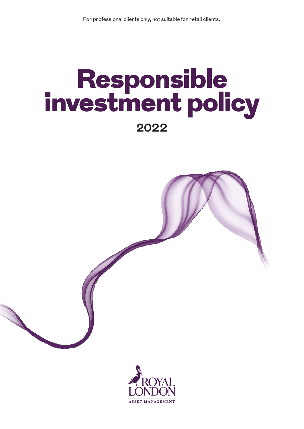# Responsible<br>investment policy **2022**



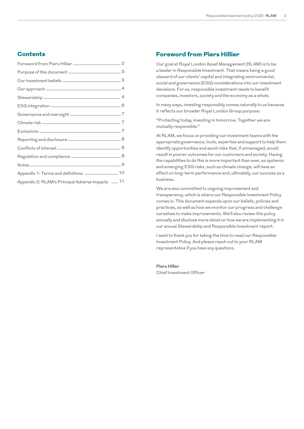## **Contents**

| Governance and oversight _____________________________7                                                                                                                                                                             |
|-------------------------------------------------------------------------------------------------------------------------------------------------------------------------------------------------------------------------------------|
|                                                                                                                                                                                                                                     |
|                                                                                                                                                                                                                                     |
|                                                                                                                                                                                                                                     |
|                                                                                                                                                                                                                                     |
|                                                                                                                                                                                                                                     |
| Notes <u>2008 - 2008 - 2008 - 2008 - 2008 - 2018</u> - 2018 - 2018 - 2018 - 2018 - 2018 - 2018 - 2018 - 2018 - 2018 - 2018 - 2018 - 2018 - 2018 - 2018 - 2018 - 2018 - 2018 - 2018 - 2018 - 2018 - 2018 - 2018 - 2018 - 2018 - 2018 |
| Appendix 1: Terms and definitions _________________ 10                                                                                                                                                                              |
| Appendix 2: RLAM's Principal Adverse Impacts __ 11                                                                                                                                                                                  |
|                                                                                                                                                                                                                                     |

## Foreword from Piers Hillier

Our goal at Royal London Asset Management (RLAM) is to be a leader in Responsible Investment. That means being a good steward of our clients' capital and integrating environmental, social and governance (ESG) considerations into our investment decisions. For us, responsible investment needs to benefit companies, investors, society and the economy as a whole.

In many ways, investing responsibly comes naturally to us because it reflects our broader Royal London Group purpose:

"Protecting today, investing in tomorrow. Together we are mutually responsible."

At RLAM, we focus on providing our investment teams with the appropriate governance, tools, expertise and support to help them identify opportunities and avoid risks that, if unmanaged, would result in poorer outcomes for our customers and society. Having the capabilities to do this is more important than ever, as systemic and emerging ESG risks, such as climate change, will have an effect on long-term performance and, ultimately, our success as a business.

We are also committed to ongoing improvement and transparency, which is where our Responsible Investment Policy comes in. This document expands upon our beliefs, policies and practices, as well as how we monitor our progress and challenge ourselves to make improvements. We'll also review this policy annually and disclose more detail on how we are implementing it in our annual Stewardship and Responsible Investment report.

I want to thank you for taking the time to read our Responsible Investment Policy. And please reach out to your RLAM representative if you have any questions.

**Piers Hiller**  Chief Investment Officer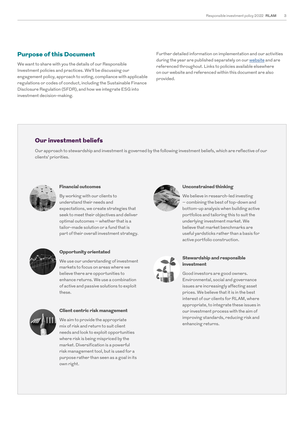## Purpose of this Document

We want to share with you the details of our Responsible Investment policies and practices. We'll be discussing our engagement policy, approach to voting, compliance with applicable regulations or codes of conduct, including the Sustainable Finance Disclosure Regulation (SFDR), and how we integrate ESG into investment decision-making.

Further detailed information on implementation and our activities during the year are published separately on our [website](http://www.rlam.co.uk) and are referenced throughout. Links to policies available elsewhere on our website and referenced within this document are also provided.

## Our investment beliefs

Our approach to stewardship and investment is governed by the following investment beliefs, which are reflective of our clients' priorities.



#### Financial outcomes

By working with our clients to understand their needs and expectations, we create strategies that seek to meet their objectives and deliver optimal outcomes – whether that is a tailor-made solution or a fund that is part of their overall investment strategy.



#### Opportunity orientated

We use our understanding of investment markets to focus on areas where we believe there are opportunities to enhance returns. We use a combination of active and passive solutions to exploit these.



#### Client centric risk management

We aim to provide the appropriate mix of risk and return to suit client needs and look to exploit opportunities where risk is being mispriced by the market. Diversification is a powerful risk management tool, but is used for a purpose rather than seen as a goal in its own right.



#### Unconstrained thinking

We believe in research-led investing – combining the best of top-down and bottom-up analysis when building active portfolios and tailoring this to suit the underlying investment market. We believe that market benchmarks are useful yardsticks rather than a basis for active portfolio construction.



#### Stewardship and responsible investment

Good investors are good owners. Environmental, social and governance issues are increasingly affecting asset prices. We believe that it is in the best interest of our clients for RLAM, where appropriate, to integrate these issues in our investment process with the aim of improving standards, reducing risk and enhancing returns.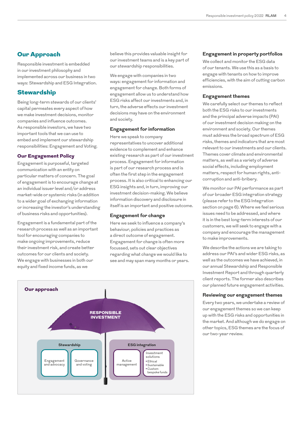## Our Approach

Responsible investment is embedded in our investment philosophy and implemented across our business in two ways: Stewardship and ESG Integration.

## **Stewardship**

Being long-term stewards of our clients' capital permeates every aspect of how we make investment decisions, monitor companies and influence outcomes. As responsible investors, we have two important tools that we can use to embed and implement our stewardship responsibilities: Engagement and Voting.

#### Our Engagement Policy

Engagement is purposeful, targeted communication with an entity on particular matters of concern. The goal of engagement is to encourage change at an individual issuer level and/or address market-wide or systemic risks (in addition to a wider goal of exchanging information or increasing the investor's understanding of business risks and opportunities).

Engagement is a fundamental part of the research process as well as an important tool for encouraging companies to make ongoing improvements, reduce their investment risk, and create better outcomes for our clients and society. We engage with businesses in both our equity and fixed income funds, as we

believe this provides valuable insight for our investment teams and is a key part of our stewardship responsibilities.

We engage with companies in two ways: engagement for information and engagement for change. Both forms of engagement allow us to understand how ESG risks affect our investments and, in turn, the adverse effects our investment decisions may have on the environment and society.

#### **Engagement for information**

Here we speak to company representatives to uncover additional evidence to complement and enhance existing research as part of our investment process. Engagement for information is part of our research process and is often the first step in the engagement process. It is also critical to enhancing our ESG insights and, in turn, improving our investment decision-making. We believe information discovery and disclosure in itself is an important and positive outcome.

#### **Engagement for change**

Here we seek to influence a company's behaviour, policies and practices as a direct outcome of engagement. Engagement for change is often more focussed, sets out clear objectives regarding what change we would like to see and may span many months or years.



#### **Engagement in property portfolios**

We collect and monitor the ESG data of our tenants. We use this as a basis to engage with tenants on how to improve efficiencies, with the aim of cutting carbon emissions.

#### **Engagement themes**

We carefully select our themes to reflect both the ESG risks to our investments and the principal adverse impacts (PAI) of our investment decision making on the environment and society. Our themes must address the broad spectrum of ESG risks, themes and indicators that are most relevant to our investments and our clients. Themes cover climate and environmental matters, as well as a variety of adverse social effects, including employment matters, respect for human rights, anticorruption and anti-bribery.

We monitor our PAI performance as part of our broader ESG integration strategy (please refer to the ESG Integration section on page 6). Where we feel serious issues need to be addressed, and where it is in the best long-term interests of our customers, we will seek to engage with a company and encourage the management to make improvements.

We describe the actions we are taking to address our PAI's and wider ESG risks, as well as the outcomes we have achieved, in our annual Stewardship and Responsible Investment Report and through quarterly client reports. The former also describes our planned future engagement activities.

#### **Reviewing our engagement themes**

Every two years, we undertake a review of our engagement themes so we can keep up with the ESG risks and opportunities in the market. And although we do engage on other topics, ESG themes are the focus of our two-year review.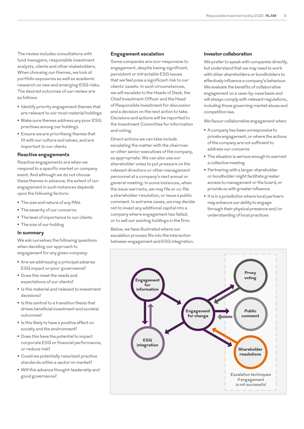The review includes consultations with fund managers, responsible investment analysts, clients and other stakeholders. When choosing our themes, we look at portfolio exposures as well as academic research on new and emerging ESG risks. The desired outcomes of our review are as follows:

- **•** Identify priority engagement themes that are relevant to our most material holdings
- **•** Make sure themes address any poor ESG practises among our holdings
- **•** Ensure we are prioritising themes that fit with our culture and values, and are important to our clients

#### **Reactive engagements**

Reactive engagements are when we respond to a specific market or company event. And although we do not choose these themes in advance, the extent of our engagement in such instances depends upon the following factors:

- **•** The size and nature of any PAIs
- **•** The severity of our concerns
- **•** The level of importance to our clients
- **•** The size of our holding

#### **In summary**

We ask ourselves the following questions when deciding our approach to engagement for any given company:

- **•** Are we addressing a principal adverse ESG impact or poor governance?
- **•** Does this meet the needs and expectations of our clients?
- **•** Is this material and relevant to investment decisions?
- **•** Is this central to a transition thesis that drives beneficial investment and societal outcomes?
- **•** Is this likely to have a positive effect on society and the environment?
- **•** Does this have the potential to impact corporate ESG or financial performance, or reduce risk?
- **•** Could we potentially raise best practice standards within a sector or market?
- **•** Will this advance thought-leadership and good governance?

#### **Engagement escalation**

Some companies are non-responsive to engagement, despite having significant, persistent or intractable ESG issues that we feel pose a significant risk to our clients' assets. In such circumstances, we will escalate to the Heads of Desk, the Chief Investment Officer and the Head of Responsible Investment for discussion and a decision on the next action to take. Decisions and actions will be reported to the Investment Committee for information and noting.

Direct actions we can take include escalating the matter with the chairman or other senior executives of the company, as appropriate. We can also use our shareholder votes to put pressure on the relevant directors or other management personnel at a company's next annual or general meeting. In some instances, when the issue warrants, we may file or co-file a shareholder resolution, or issue a public comment. In extreme cases, we may decide not to invest any additional capital into a company where engagement has failed, or to sell our existing holdings in the firm.

Below, we have illustrated where our escalation process fits into the interaction between engagement and ESG integration.

#### **Investor collaboration**

We prefer to speak with companies directly, but understand that we may need to work with other shareholders or bondholders to effectively influence a company's behaviour. We evaluate the benefits of collaborative engagement on a case-by-case basis and will always comply with relevant regulations, including those governing market abuse and competition law.

We favour collaborative engagement when:

- **•** A company has been unresponsive to private engagement, or where the actions of the company are not sufficient to address our concerns
- **•** The situation is serious enough to warrant a collective meeting
- **•** Partnering with a larger shareholder or bondholder might facilitate greater access to management or the board, or provide us with greater influence
- **•** It is in a jurisdiction where local partners may enhance our ability to engage through their physical presence and/or understanding of local practices

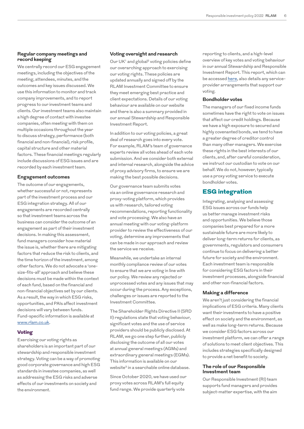#### **Regular company meetings and record keeping**

We centrally record our ESG engagement meetings, including the objectives of the meeting, attendees, minutes, and the outcomes and key issues discussed. We use this information to monitor and track company improvements, and to report progress to our investment teams and clients. Our investment teams also maintain a high degree of contact with investee companies, often meeting with them on multiple occasions throughout the year to discuss strategy, performance (both financial and non-financial), risk profile, capital structure and other material factors. These financial meetings regularly include discussions of ESG issues and are recorded by each investment team.

#### **Engagement outcomes**

The outcome of our engagements, whether successful or not, represents part of the investment process and our ESG integration strategy. All of our engagements are recorded centrally so that investment teams across the business can consider the outcome of an engagement as part of their investment decisions. In making this assessment, fund managers consider how material the issue is, whether there are mitigating factors that reduce the risk to clients, and the time horizon of the investment, among other factors. We do not advocate a 'onesize-fits-all' approach and believe these decisions must be made within the context of each fund, based on the financial and non-financial objectives set by our clients. As a result, the way in which ESG risks, opportunities, and PAIs affect investment decisions will vary between funds. Fund-specific information is available at [www.rlam.co.uk](http://www.rlam.co.uk).

#### Voting

Exercising our voting rights as shareholders is an important part of our stewardship and responsible investment strategy. Voting can be a way of promoting good corporate governance and high ESG standards in investee companies, as well as addressing the ESG risks and adverse effects of our investments on society and the environment.

#### **Voting oversight and research**

Our UK<sup>1</sup> and global<sup>2</sup> voting policies define our overarching approach to exercising our voting rights. These policies are updated annually and signed off by the RLAM Investment Committee to ensure they meet emerging best practice and client expectations. Details of our voting behaviour are available on our website and there is also a summary provided in our annual Stewardship and Responsible Investment Report.

In addition to our voting policies, a great deal of research goes into every vote. For example, RLAM's team of governance experts review all votes ahead of each vote submission. And we consider both external and internal research, alongside the advice of proxy advisory firms, to ensure we are making the best possible decisions.

Our governance team submits votes via an online governance research and proxy-voting platform, which provides us with research, tailored voting recommendations, reporting functionality and vote processing. We also have an annual meeting with our voting-platform provider to review the effectiveness of our voting, determine any improvements that can be made in our approach and review the service we receive.

Meanwhile, we undertake an internal monthly compliance review of our votes to ensure that we are voting in line with our policy. We review any rejected or unprocessed votes and any issues that may occur during the process. Any exceptions, challenges or issues are reported to the Investment Committee.

The Shareholder Rights Directive II (SRD II) regulations state that voting behaviour, significant votes and the use of service providers should be publicly disclosed. At RLAM, we go one step further, publicly disclosing the outcome of all our votes at annual general meetings (AGMs) and extraordinary general meetings (EGMs). This information is available on our website<sup>3</sup> in a searchable online database.

Since October 2020, we have used our proxy votes across RLAM's full equity fund range. We provide quarterly vote

reporting to clients, and a high-level overview of key votes and voting behaviour in our annual Stewardship and Responsible Investment Report. This report, which can be accessed [here](https://www.rlam.co.uk/institutional-investors/responsible-investment/responsible-investment-at-rlam/), also details any serviceprovider arrangements that support our voting.

#### **Bondholder votes**

The managers of our fixed income funds sometimes have the right to vote on issues that affect our credit holdings. Because we have a high exposure to secured and highly covenanted bonds, we tend to have a greater degree of creditor control than many other managers. We exercise these rights in the best interests of our clients, and, after careful consideration, we instruct our custodian to vote on our behalf. We do not, however, typically use a proxy voting service to execute bondholder votes.

## ESG integration

Integrating, analysing and assessing ESG issues across our funds help us better manage investment risks and opportunities. We believe those companies best prepared for a more sustainable future are more likely to deliver long-term returns for clients, as governments, regulators and consumers continue to focus on delivering a better future for society and the environment. Each investment team is responsible for considering ESG factors in their investment processes, alongside financial and other non-financial factors.

#### **Making a difference**

We aren't just considering the financial implications of ESG criteria. Many clients want their investments to have a positive effect on society and the environment, as well as make long-term returns. Because we consider ESG factors across our investment platform, we can offer a range of solutions to meet client objectives. This includes strategies specifically designed to provide a net benefit to society.

#### **The role of our Responsible Investment team**

Our Responsible Investment (RI) team supports fund managers and provides subject-matter expertise, with the aim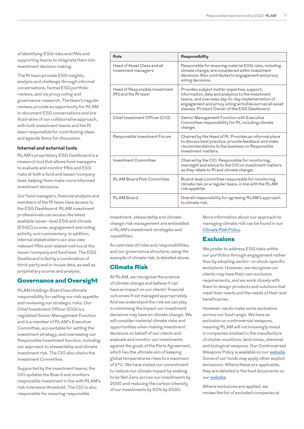of identifying ESG risks and PAIs and supporting teams to integrate them into investment decision making.

The RI team provide ESG insights, analysis and challenge through informal conversations, formal ESG portfolio reviews, and via proxy voting and governance research. The team's regular reviews provide an opportunity for RLAM to document ESG conversations and are illustrative of our collaborative approach, with both investment teams and the RI team responsible for contributing ideas and agenda items for discussion.

#### **Internal and external tools**

RLAM's proprietary ESG Dashboard is a research tool that allows fund managers to evaluate and monitor PAIs and ESG risks at both a fund and issuer/company level, helping them make more informed investment decisions.

Our fund managers, financial analysts and members of the RI team have access to the ESG Dashboard. RLAM investment professionals can access the latest available issuer-level ESG and climate (ESGC) scores, engagement and voting activity, and commentary. In addition, internal stakeholders can also view relevant PAIs and related metrics at the issuer/company and fund level. The ESG Dashboard is fed by a combination of third-party and in-house data, as well as proprietary scores and analysis.

## Governance and Oversight

RLAM Holdings Board has ultimate responsibility for setting our risk appetite and reviewing our strategic risks. Our Chief Investment Officer (CIO) is a regulated Senior Management Function and is a member of RLAM's Executive Committee, accountable for setting the investment strategy, and overseeing our Responsible Investment function, including our approach to stewardship and climate investment risk. The CIO also chairs the Investment Committee.

Supported by the investment teams, the CIO updates the Board and monitors responsible investment in line with RLAM's risk-tolerance threshold. The CIO is also responsible for ensuring responsible

| Role                                                   | Responsibility                                                                                                                                                                                                                                                  |
|--------------------------------------------------------|-----------------------------------------------------------------------------------------------------------------------------------------------------------------------------------------------------------------------------------------------------------------|
| Head of Asset Class and all<br>investment managers     | Responsible for ensuring material ESG risks, including<br>climate change, are considered within investment<br>decisions. Also contributes to engagement and proxy<br>voting decisions.                                                                          |
| Head of Responsible Investment<br>(RI) and the RI team | Provides subject matter expertise, support,<br>information, data and analytics to the investment<br>teams, and oversees day-to-day implementation of<br>engagement and proxy voting activities across all asset<br>classes. Product Owner of the ESG Dashboard. |
| Chief Investment Officer (CIO)                         | Senior Management Function with Executive<br>Committee responsibility for RI, including climate<br>change.                                                                                                                                                      |
| Responsible Investment Forum                           | Chaired by the Head of RI. Provides an informal place<br>to discuss best practice, provide feedback and make<br>recommendations to the business on Responsible<br>Investment matters.                                                                           |
| Investment Committee                                   | Chaired by the CIO. Responsible for monitoring,<br>oversight and advice to the CIO on investment matters<br>as they relate to RI and climate change.                                                                                                            |
| <b>RLAM Board Risk Committee</b>                       | Board-level committee responsible for monitoring<br>climate risk on a regular basis, in line with the RLAM<br>risk appetite.                                                                                                                                    |
| <b>RI AM Board</b>                                     | Overall responsibility for agreeing RLAM's approach<br>to climate risk.                                                                                                                                                                                         |

investment, stewardship and climatechange risk management are embedded in RLAM's investment strategies and capabilities.

An overview of roles and responsibilities, and our governance structure, using the example of climate risk, is detailed above.

## Climate Risk

At RLAM, we recognise the science of climate change and believe it can have an impact on our clients' financial outcomes if not managed appropriately. And we understand the role we can play in minimising the impact our investment decisions may have on climate change. We will consider material climate risks and opportunities when making investment decisions on behalf of our clients and evaluate and monitor our investments against the goals of the Paris Agreement, which has the ultimate aim of keeping global temperatures rises to a maximum of 2°C. We have stated our commitment to reduce our climate impact by seeking to be Net Zero across our investments by 2050 and reducing the carbon intensity of our investments by 50% by 2030.

More information about our approach to managing climate risk can be found in our [Climate Risk Policy.](https://www.rlam.co.uk/institutional-investors/responsible-investment/responsible-investment-at-rlam/)

#### **Exclusions**

We prefer to address ESG risks within our portfolios through engagement rather than by adopting sector- or stock-specific exclusions. However, we recognise our clients may have their own exclusion requirements, and we work closely with them to design products and solutions that meet their needs and the needs of their end beneficiaries.

However, we do make some exclusions across our fund range. We have an exclusion on controversial weapons, meaning RLAM will not knowingly invest in companies involved in the manufacture of cluster munitions, land mines, chemical and biological weapons. Our Controversial Weapons Policy is available on our [website](https://www.rlam.co.uk/institutional-investors/responsible-investment/responsible-investment-at-rlam/). Some of our funds may apply other explicit exclusions. Where these are applicable, they are detailed in the fund documents on our [website.](https://www.rlam.co.uk/institutional-investors/responsible-investment/responsible-investment-at-rlam/)

Where exclusions are applied, we review the list of excluded companies at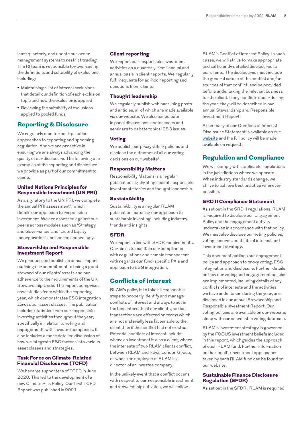least quarterly, and update our order management systems to restrict trading. The RI team is responsible for overseeing the definitions and suitability of exclusions, including:

- **•** Maintaining a list of internal exclusions that detail our definition of each exclusion topic and how the exclusion is applied
- **•** Reviewing the suitability of exclusions applied to pooled funds

## Reporting & Disclosure

We regularly monitor best-practice approaches to reporting and upcoming regulation. And we are proactive in ensuring we are always advancing the quality of our disclosure. The following are examples of the reporting and disclosure we provide as part of our commitment to clients.

#### United Nations Principles for Responsible Investment (UN PRI)

As a signatory to the UN PRI, we complete the annual PRI assessment<sup>4</sup>, which details our approach to responsible investment. We are assessed against our peers across modules such as 'Strategy and Governance' and 'Listed Equity Incorporation', and scored accordingly.

#### Stewardship and Responsible Investment Report

We produce and publish an annual report outlining our commitment to being a good steward of our clients' assets and our adherence to the requirements of the UK Stewardship Code. The report comprises case studies from within the reporting year, which demonstrates ESG integration across our asset classes. The publication includes statistics from our responsible investing activities throughout the year, specifically in relation to voting and engagements with investee companies. It also includes a more detailed discussion of how we integrate ESG factors into various asset classes and strategies.

#### Task Force on Climate-Related Financial Disclosures (TCFD)

We became supporters of TCFD in June 2020. This led to the development of a new Climate Risk Policy. Our first TCFD Report was published in 2021.

#### Client reporting

We report our responsible investment activities on a quarterly, semi-annual and annual basis in client reports. We regularly fulfil requests for ad-hoc reporting and questions from clients.

#### Thought leadership

We regularly publish webinars, blog posts and articles, all of which are made available via our website. We also participate in panel discussions, conferences and seminars to debate topical ESG issues.

#### Voting

We publish our proxy voting policies and disclose the outcomes of all our voting decisions on our website<sup>5</sup>.

#### Responsibility Matters

Responsibility Matters is a regular publication highlighting recent responsible investment stories and thought leadership.

#### **SustainAbility**

SustainAbility is a regular RLAM publication featuring our approach to sustainable investing, including industry trends and insights.

#### **SFDR**

We report in line with SFDR requirements. Our aim is to maintain our compliance with regulations and remain transparent with regards our fund-specific PAIs and approach to ESG integration.

## Conflicts of Interest

RLAM's policy is to take all reasonable steps to properly identify and manage conflicts of interest and always to act in the best interests of our clients, so that transactions are effected on terms which are not materially less favourable to the client than if the conflict had not existed. Potential conflicts of interest include: where an investment is also a client, where the interests of two RLAM clients conflict, between RLAM and Royal London Group, or where an employee of RLAM is a director of an investee company.

In the unlikely event that a conflict occurs with respect to our responsible investment and stewardship activities, we will follow

RLAM's Conflict of Interest Policy. In such cases, we will strive to make appropriate and sufficiently detailed disclosures to our clients. The disclosures must include the general nature of the conflict and/or sources of that conflict, and be provided before undertaking the relevant business for the client. If any conflicts occur during the year, they will be described in our annual Stewardship and Responsible Investment Report.

A summary of our Conflicts of Interest Disclosure Statement is available on our [website](http://www.rlam.co.uk) and the full policy will be made available on request.

# Regulation and Compliance

We will comply with applicable regulations in the jurisdictions where we operate. When industry standards change, we strive to achieve best practice wherever possible.

#### SRD II Compliance Statement

As set out in the SRD II regulations, RLAM is required to disclose our Engagement Policy and the engagement activity undertaken in accordance with that policy. We must also disclose our voting policies, voting records, conflicts of interest and investment strategy.

This document outlines our engagement policy and approach to proxy voting, ESG integration and disclosure. Further details on how our voting and engagement policies are implemented, including details of any conflicts of interests and the activities we have undertaken during the year, are disclosed in our annual Stewardship and Responsible Investment Report. Our voting policies are available on our website, along with our searchable voting database.

RLAM's investment strategy is governed by the FOCUS investment beliefs included in this report, which guides the approach of each RLAM fund. Further information on the specific investment approaches taken by each RLAM fund can be found on our website.

#### Sustainable Finance Disclosure Regulation (SFDR)

As set out in the SFDR , RLAM is required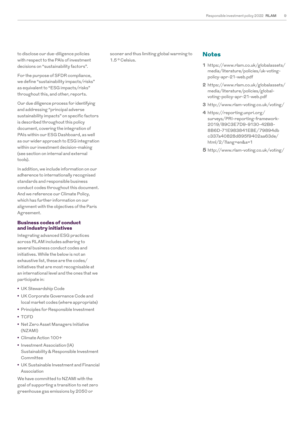to disclose our due-diligence policies with respect to the PAIs of investment decisions on "sustainability factors".

For the purpose of SFDR compliance, we define "sustainability impacts/risks" as equivalent to "ESG impacts/risks" throughout this, and other, reports.

Our due diligence process for identifying and addressing "principal adverse sustainability impacts" on specific factors is described throughout this policy document, covering the integration of PAIs within our ESG Dashboard, as well as our wider approach to ESG integration within our investment decision-making (see section on internal and external tools).

In addition, we include information on our adherence to internationally recognised standards and responsible business conduct codes throughout this document. And we reference our Climate Policy, which has further information on our alignment with the objectives of the Paris Agreement.

#### Business codes of conduct and industry initiatives

Integrating advanced ESG practices across RLAM includes adhering to several business conduct codes and initiatives. While the below is not an exhaustive list, these are the codes/ initiatives that are most recognisable at an international level and the ones that we participate in:

- **•** UK Stewardship Code
- **•** UK Corporate Governance Code and local market codes (where appropriate)
- **•** Principles for Responsible Investment
- **•** TCFD
- **•** Net Zero Asset Managers Initiative (NZAMI)
- **•** Climate Action 100+
- **•** Investment Association (IA) Sustainability & Responsible Investment **Committee**
- **•** UK Sustainable Investment and Financial Association

We have committed to NZAMI with the goal of supporting a transition to net zero greenhouse gas emissions by 2050 or

sooner and thus limiting global warming to 1.5 ° Celsius.

## Notes

- **1** [https://www.rlam.co.uk/globalassets/](https://www.rlam.co.uk/globalassets/media/literature/policies/uk-voting-policy-apr-21-web.pdf) [media/literature/policies/uk-voting](https://www.rlam.co.uk/globalassets/media/literature/policies/uk-voting-policy-apr-21-web.pdf)[policy-apr-21-web.pdf](https://www.rlam.co.uk/globalassets/media/literature/policies/uk-voting-policy-apr-21-web.pdf)
- **2** [https://www.rlam.co.uk/globalassets/](https://www.rlam.co.uk/globalassets/media/literature/policies/global-voting-policy-apr-21-web.pdf) [media/literature/policies/global](https://www.rlam.co.uk/globalassets/media/literature/policies/global-voting-policy-apr-21-web.pdf)[voting-policy-apr-21-web.pdf](https://www.rlam.co.uk/globalassets/media/literature/policies/global-voting-policy-apr-21-web.pdf)
- **3** <http://www.rlam-voting.co.uk/voting/>
- **4** [https://reporting.unpri.org/](https://reporting.unpri.org/surveys/PRI-reporting-framework-2019/89C3E7D9-9130-42B8-8B6D-71E983841EBE/79894dbc337a40828d895f9402aa63de/html/2/?lang=en&a=1) [surveys/PRI-reporting-framework-](https://reporting.unpri.org/surveys/PRI-reporting-framework-2019/89C3E7D9-9130-42B8-8B6D-71E983841EBE/79894dbc337a40828d895f9402aa63de/html/2/?lang=en&a=1)[2019/89C3E7D9-9130-42B8-](https://reporting.unpri.org/surveys/PRI-reporting-framework-2019/89C3E7D9-9130-42B8-8B6D-71E983841EBE/79894dbc337a40828d895f9402aa63de/html/2/?lang=en&a=1) [8B6D-71E983841EBE/79894db](https://reporting.unpri.org/surveys/PRI-reporting-framework-2019/89C3E7D9-9130-42B8-8B6D-71E983841EBE/79894dbc337a40828d895f9402aa63de/html/2/?lang=en&a=1) [c337a40828d895f9402aa63de/](https://reporting.unpri.org/surveys/PRI-reporting-framework-2019/89C3E7D9-9130-42B8-8B6D-71E983841EBE/79894dbc337a40828d895f9402aa63de/html/2/?lang=en&a=1) [html/2/?lang=en&a=1](https://reporting.unpri.org/surveys/PRI-reporting-framework-2019/89C3E7D9-9130-42B8-8B6D-71E983841EBE/79894dbc337a40828d895f9402aa63de/html/2/?lang=en&a=1)
- **5** <http://www.rlam-voting.co.uk/voting/>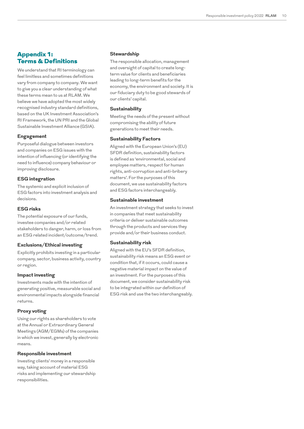## Appendix 1: Terms & Definitions

We understand that RI terminology can feel limitless and sometimes definitions vary from company to company. We want to give you a clear understanding of what these terms mean to us at RLAM. We believe we have adopted the most widely recognised industry standard definitions, based on the UK Investment Association's RI Framework, the UN PRI and the Global Sustainable Investment Alliance (GSIA).

#### **Engagement**

Purposeful dialogue between investors and companies on ESG issues with the intention of influencing (or identifying the need to influence) company behaviour or improving disclosure.

#### **ESG integration**

The systemic and explicit inclusion of ESG factors into investment analysis and decisions.

#### **ESG risks**

The potential exposure of our funds, investee companies and/or related stakeholders to danger, harm, or loss from an ESG related incident/outcome/trend.

#### **Exclusions/Ethical investing**

Explicitly prohibits investing in a particular company, sector, business activity, country or region.

#### **Impact investing**

Investments made with the intention of generating positive, measurable social and environmental impacts alongside financial returns.

#### **Proxy voting**

Using our rights as shareholders to vote at the Annual or Extraordinary General Meetings (AGM/EGMs) of the companies in which we invest, generally by electronic means.

#### **Responsible investment**

Investing clients' money in a responsible way, taking account of material ESG risks and implementing our stewardship responsibilities.

#### **Stewardship**

The responsible allocation, management and oversight of capital to create longterm value for clients and beneficiaries leading to long-term benefits for the economy, the environment and society. It is our fiduciary duty to be good stewards of our clients' capital.

#### **Sustainability**

Meeting the needs of the present without compromising the ability of future generations to meet their needs.

#### **Sustainability Factors**

Aligned with the European Union's (EU) SFDR definition, sustainability factors is defined as 'environmental, social and employee matters, respect for human rights, anti-corruption and anti-bribery matters'. For the purposes of this document, we use sustainability factors and ESG factors interchangeably.

#### **Sustainable investment**

An investment strategy that seeks to invest in companies that meet sustainability criteria or deliver sustainable outcomes through the products and services they provide and/or their business conduct.

#### **Sustainability risk**

Aligned with the EU's SFDR definition, sustainability risk means an ESG event or condition that, if it occurs, could cause a negative material impact on the value of an investment. For the purposes of this document, we consider sustainability risk to be integrated within our definition of ESG risk and use the two interchangeably.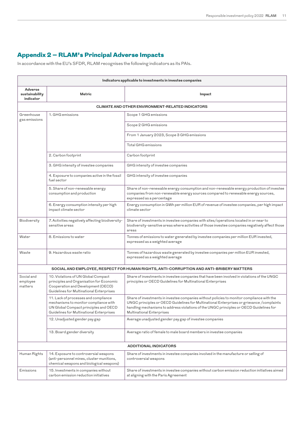# Appendix 2 – RLAM's Principal Adverse Impacts

In accordance with the EU's SFDR, RLAM recognises the following indicators as its PAIs.

| Indicators applicable to investments in investee companies                              |                                                                                                                                                                    |                                                                                                                                                                                                                                                                                                                        |  |  |
|-----------------------------------------------------------------------------------------|--------------------------------------------------------------------------------------------------------------------------------------------------------------------|------------------------------------------------------------------------------------------------------------------------------------------------------------------------------------------------------------------------------------------------------------------------------------------------------------------------|--|--|
| Adverse<br>sustainability<br>indicator                                                  | Metric                                                                                                                                                             | Impact                                                                                                                                                                                                                                                                                                                 |  |  |
| <b>CLIMATE AND OTHER ENVIRONMENT-RELATED INDICATORS</b>                                 |                                                                                                                                                                    |                                                                                                                                                                                                                                                                                                                        |  |  |
| Greenhouse<br>gas emissions                                                             | 1. GHG emissions                                                                                                                                                   | Scope 1 GHG emissions                                                                                                                                                                                                                                                                                                  |  |  |
|                                                                                         |                                                                                                                                                                    | Scope 2 GHG emissions                                                                                                                                                                                                                                                                                                  |  |  |
|                                                                                         |                                                                                                                                                                    | From 1 January 2023, Scope 3 GHG emissions                                                                                                                                                                                                                                                                             |  |  |
|                                                                                         |                                                                                                                                                                    | Total GHG emissions                                                                                                                                                                                                                                                                                                    |  |  |
|                                                                                         | 2. Carbon footprint                                                                                                                                                | Carbon footprint                                                                                                                                                                                                                                                                                                       |  |  |
|                                                                                         | 3. GHG intensity of investee companies                                                                                                                             | GHG intensity of investee companies                                                                                                                                                                                                                                                                                    |  |  |
|                                                                                         | 4. Exposure to companies active in the fossil<br>fuel sector                                                                                                       | GHG intensity of investee companies                                                                                                                                                                                                                                                                                    |  |  |
|                                                                                         | 5. Share of non-renewable energy<br>consumption and production                                                                                                     | Share of non-renewable energy consumption and non-renewable energy production of investee<br>companies from non-renewable energy sources compared to renewable energy sources,<br>expressed as a percentage                                                                                                            |  |  |
|                                                                                         | 6. Energy consumption intensity per high<br>impact climate sector                                                                                                  | Energy consumption in GWh per million EUR of revenue of investee companies, per high impact<br>climate sector                                                                                                                                                                                                          |  |  |
| Biodiversity                                                                            | 7. Activities negatively affecting biodiversity-<br>sensitive areas                                                                                                | Share of investments in investee companies with sites/operations located in or near to<br>biodiversity-sensitive areas where activities of those investee companies negatively affect those<br>areas                                                                                                                   |  |  |
| Water                                                                                   | 8. Emissions to water                                                                                                                                              | Tonnes of emissions to water generated by investee companies per million EUR invested,<br>expressed as a weighted average                                                                                                                                                                                              |  |  |
| Waste                                                                                   | 9. Hazardous waste ratio                                                                                                                                           | Tonnes of hazardous waste generated by investee companies per million EUR invested,<br>expressed as a weighted average                                                                                                                                                                                                 |  |  |
| SOCIAL AND EMPLOYEE, RESPECT FOR HUMAN RIGHTS, ANTI-CORRUPTION AND ANTI-BRIBERY MATTERS |                                                                                                                                                                    |                                                                                                                                                                                                                                                                                                                        |  |  |
| Social and<br>employee<br>matters                                                       | 10. Violations of UN Global Compact<br>principles and Organisation for Economic<br>Cooperation and Development (OECD)<br>Guidelines for Multinational Enterprises  | Share of investments in investee companies that have been involved in violations of the UNGC<br>principles or OECD Guidelines for Multinational Enterprises                                                                                                                                                            |  |  |
|                                                                                         | 11. Lack of processes and compliance<br>mechanisms to monitor compliance with<br>UN Global Compact principles and OECD<br>Guidelines for Multinational Enterprises | Share of investments in investee companies without policies to monitor compliance with the<br>UNGC principles or OECD Guidelines for Multinational Enterprises or grievance /complaints<br>handling mechanisms to address violations of the UNGC principles or OECD Guidelines for<br><b>Multinational Enterprises</b> |  |  |
|                                                                                         | 12. Unadjusted gender pay gap                                                                                                                                      | Average unadjusted gender pay gap of investee companies                                                                                                                                                                                                                                                                |  |  |
|                                                                                         | 13. Board gender diversity                                                                                                                                         | Average ratio of female to male board members in investee companies                                                                                                                                                                                                                                                    |  |  |
| <b>ADDITIONAL INDICATORS</b>                                                            |                                                                                                                                                                    |                                                                                                                                                                                                                                                                                                                        |  |  |
| Human Rights                                                                            | 14. Exposure to controversial weapons<br>(anti-personnel mines, cluster munitions,<br>chemical weapons and biological weapons)                                     | Share of investments in investee companies involved in the manufacture or selling of<br>controversial weapons                                                                                                                                                                                                          |  |  |
| Emissions                                                                               | 15. Investments in companies without<br>carbon emission reduction initiatives                                                                                      | Share of investments in investee companies without carbon emission reduction initiatives aimed<br>at aligning with the Paris Agreement                                                                                                                                                                                 |  |  |